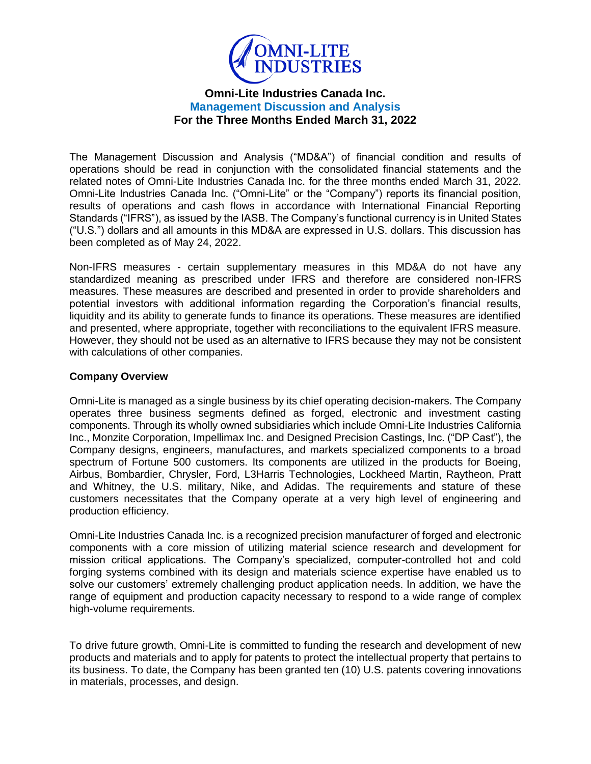

The Management Discussion and Analysis ("MD&A") of financial condition and results of operations should be read in conjunction with the consolidated financial statements and the related notes of Omni-Lite Industries Canada Inc. for the three months ended March 31, 2022. Omni-Lite Industries Canada Inc. ("Omni-Lite" or the "Company") reports its financial position, results of operations and cash flows in accordance with International Financial Reporting Standards ("IFRS"), as issued by the IASB. The Company's functional currency is in United States ("U.S.") dollars and all amounts in this MD&A are expressed in U.S. dollars. This discussion has been completed as of May 24, 2022.

Non-IFRS measures - certain supplementary measures in this MD&A do not have any standardized meaning as prescribed under IFRS and therefore are considered non-IFRS measures. These measures are described and presented in order to provide shareholders and potential investors with additional information regarding the Corporation's financial results, liquidity and its ability to generate funds to finance its operations. These measures are identified and presented, where appropriate, together with reconciliations to the equivalent IFRS measure. However, they should not be used as an alternative to IFRS because they may not be consistent with calculations of other companies.

## **Company Overview**

Omni-Lite is managed as a single business by its chief operating decision-makers. The Company operates three business segments defined as forged, electronic and investment casting components. Through its wholly owned subsidiaries which include Omni-Lite Industries California Inc., Monzite Corporation, Impellimax Inc. and Designed Precision Castings, Inc. ("DP Cast"), the Company designs, engineers, manufactures, and markets specialized components to a broad spectrum of Fortune 500 customers. Its components are utilized in the products for Boeing, Airbus, Bombardier, Chrysler, Ford, L3Harris Technologies, Lockheed Martin, Raytheon, Pratt and Whitney, the U.S. military, Nike, and Adidas. The requirements and stature of these customers necessitates that the Company operate at a very high level of engineering and production efficiency.

Omni-Lite Industries Canada Inc. is a recognized precision manufacturer of forged and electronic components with a core mission of utilizing material science research and development for mission critical applications. The Company's specialized, computer-controlled hot and cold forging systems combined with its design and materials science expertise have enabled us to solve our customers' extremely challenging product application needs. In addition, we have the range of equipment and production capacity necessary to respond to a wide range of complex high-volume requirements.

To drive future growth, Omni-Lite is committed to funding the research and development of new products and materials and to apply for patents to protect the intellectual property that pertains to its business. To date, the Company has been granted ten (10) U.S. patents covering innovations in materials, processes, and design.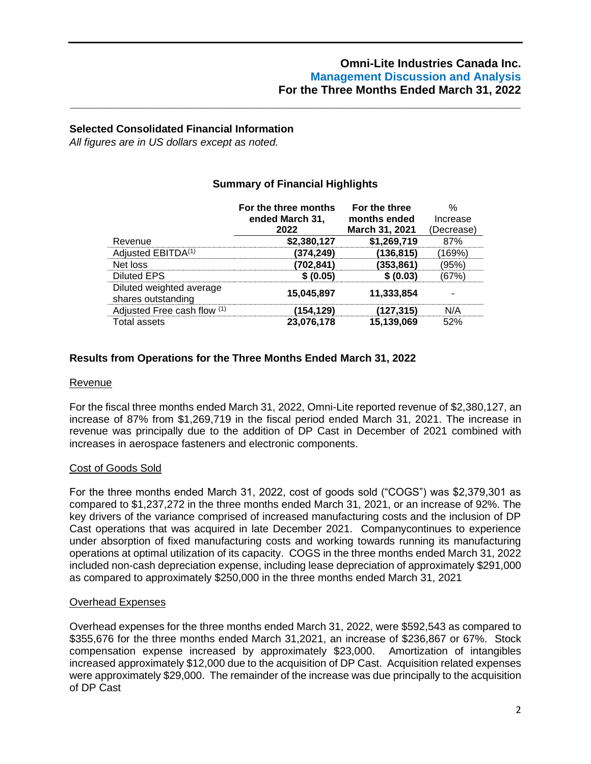## **Selected Consolidated Financial Information**

*All figures are in US dollars except as noted.*

# **Summary of Financial Highlights**

**\_\_\_\_\_\_\_\_\_\_\_\_\_\_\_\_\_\_\_\_\_\_\_\_\_\_\_\_\_\_\_\_\_\_\_\_\_\_\_\_\_\_\_\_\_\_\_\_\_\_\_\_\_\_\_\_\_\_\_\_\_\_\_\_\_\_\_\_\_\_**

|                                                | For the three months<br>ended March 31, | For the three<br>months ended | Increase   |
|------------------------------------------------|-----------------------------------------|-------------------------------|------------|
|                                                | 2022                                    | March 31, 2021                | (Decrease) |
| Revenue                                        | \$2,380,127                             | \$1,269,719                   | 87%        |
| Adjusted EBITDA <sup>(1)</sup>                 | 374.249)                                | (136.815)                     | I69%`      |
| Net loss                                       | 702,841)                                | $\left( 353,861\right)$       | 95%        |
| <b>Diluted EPS</b>                             | \$ (0.05)                               | (0.03)                        |            |
| Diluted weighted average<br>shares outstanding | 15,045,897                              | 11,333,854                    |            |
| Adjusted Free cash flow (1)                    | 154, 129                                | '127,315)                     | N/A        |
| Total assets                                   | 23.076.178                              | 15,139,069                    | 52%        |

## **Results from Operations for the Three Months Ended March 31, 2022**

#### Revenue

For the fiscal three months ended March 31, 2022, Omni-Lite reported revenue of \$2,380,127, an increase of 87% from \$1,269,719 in the fiscal period ended March 31, 2021. The increase in revenue was principally due to the addition of DP Cast in December of 2021 combined with increases in aerospace fasteners and electronic components.

### Cost of Goods Sold

For the three months ended March 31, 2022, cost of goods sold ("COGS") was \$2,379,301 as compared to \$1,237,272 in the three months ended March 31, 2021, or an increase of 92%. The key drivers of the variance comprised of increased manufacturing costs and the inclusion of DP Cast operations that was acquired in late December 2021. Companycontinues to experience under absorption of fixed manufacturing costs and working towards running its manufacturing operations at optimal utilization of its capacity. COGS in the three months ended March 31, 2022 included non-cash depreciation expense, including lease depreciation of approximately \$291,000 as compared to approximately \$250,000 in the three months ended March 31, 2021

### Overhead Expenses

Overhead expenses for the three months ended March 31, 2022, were \$592,543 as compared to \$355,676 for the three months ended March 31,2021, an increase of \$236,867 or 67%. Stock compensation expense increased by approximately \$23,000. Amortization of intangibles increased approximately \$12,000 due to the acquisition of DP Cast. Acquisition related expenses were approximately \$29,000. The remainder of the increase was due principally to the acquisition of DP Cast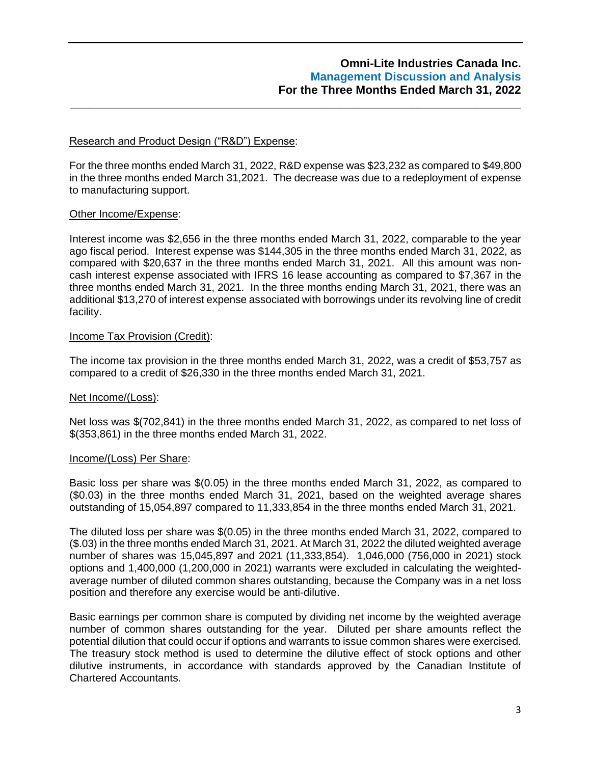## Research and Product Design ("R&D") Expense:

For the three months ended March 31, 2022, R&D expense was \$23,232 as compared to \$49,800 in the three months ended March 31,2021. The decrease was due to a redeployment of expense to manufacturing support.

**\_\_\_\_\_\_\_\_\_\_\_\_\_\_\_\_\_\_\_\_\_\_\_\_\_\_\_\_\_\_\_\_\_\_\_\_\_\_\_\_\_\_\_\_\_\_\_\_\_\_\_\_\_\_\_\_\_\_\_\_\_\_\_\_\_\_\_\_\_\_**

### Other Income/Expense:

Interest income was \$2,656 in the three months ended March 31, 2022, comparable to the year ago fiscal period. Interest expense was \$144,305 in the three months ended March 31, 2022, as compared with \$20,637 in the three months ended March 31, 2021. All this amount was noncash interest expense associated with IFRS 16 lease accounting as compared to \$7,367 in the three months ended March 31, 2021. In the three months ending March 31, 2021, there was an additional \$13,270 of interest expense associated with borrowings under its revolving line of credit facility.

### Income Tax Provision (Credit):

The income tax provision in the three months ended March 31, 2022, was a credit of \$53,757 as compared to a credit of \$26,330 in the three months ended March 31, 2021.

### Net Income/(Loss):

Net loss was \$(702,841) in the three months ended March 31, 2022, as compared to net loss of \$(353,861) in the three months ended March 31, 2022.

### Income/(Loss) Per Share:

Basic loss per share was \$(0.05) in the three months ended March 31, 2022, as compared to (\$0.03) in the three months ended March 31, 2021, based on the weighted average shares outstanding of 15,054,897 compared to 11,333,854 in the three months ended March 31, 2021.

The diluted loss per share was \$(0.05) in the three months ended March 31, 2022, compared to (\$.03) in the three months ended March 31, 2021. At March 31, 2022 the diluted weighted average number of shares was 15,045,897 and 2021 (11,333,854). 1,046,000 (756,000 in 2021) stock options and 1,400,000 (1,200,000 in 2021) warrants were excluded in calculating the weightedaverage number of diluted common shares outstanding, because the Company was in a net loss position and therefore any exercise would be anti-dilutive.

Basic earnings per common share is computed by dividing net income by the weighted average number of common shares outstanding for the year. Diluted per share amounts reflect the potential dilution that could occur if options and warrants to issue common shares were exercised. The treasury stock method is used to determine the dilutive effect of stock options and other dilutive instruments, in accordance with standards approved by the Canadian Institute of Chartered Accountants.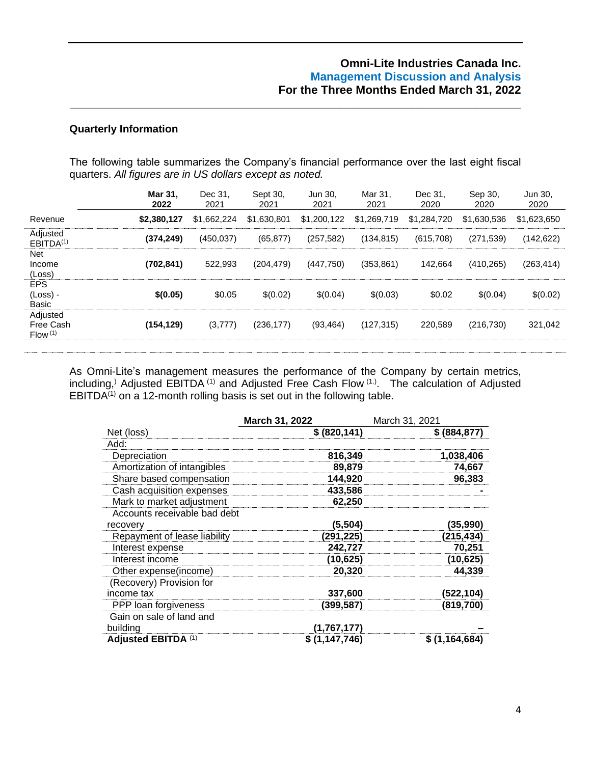#### **Quarterly Information**

The following table summarizes the Company's financial performance over the last eight fiscal quarters. *All figures are in US dollars except as noted.*

**\_\_\_\_\_\_\_\_\_\_\_\_\_\_\_\_\_\_\_\_\_\_\_\_\_\_\_\_\_\_\_\_\_\_\_\_\_\_\_\_\_\_\_\_\_\_\_\_\_\_\_\_\_\_\_\_\_\_\_\_\_\_\_\_\_\_\_\_\_\_**

|                                              | <b>Mar 31.</b><br>2022 | Dec 31.<br>2021 | Sept 30.<br>2021 | Jun 30.<br>2021 | Mar 31.<br>2021 | Dec 31.<br>2020 | Sep 30,<br>2020 | Jun 30,<br>2020 |
|----------------------------------------------|------------------------|-----------------|------------------|-----------------|-----------------|-----------------|-----------------|-----------------|
| Revenue                                      | \$2,380,127            | \$1,662,224     | \$1,630,801      | \$1,200,122     | \$1,269,719     | \$1,284,720     | \$1,630,536     | \$1,623,650     |
| Adjusted<br>EBITDA <sup>(1)</sup>            | (374, 249)             | (450, 037)      | (65, 877)        | (257, 582)      | (134, 815)      | (615,708)       | (271, 539)      | (142, 622)      |
| <b>Net</b><br>Income<br>(Loss)               | (702, 841)             | 522.993         | (204, 479)       | (447,750)       | (353, 861)      | 142.664         | (410, 265)      | (263, 414)      |
| <b>EPS</b><br>(Loss) -<br>Basic              | \$(0.05)               | \$0.05          | \$(0.02)         | \$(0.04)        | \$(0.03)        | \$0.02          | \$(0.04)        | \$(0.02)        |
| Adjusted<br>Free Cash<br>Flow <sup>(1)</sup> | (154, 129)             | (3, 777)        | (236, 177)       | (93, 464)       | (127, 315)      | 220.589         | (216, 730)      | 321,042         |
|                                              |                        |                 |                  |                 |                 |                 |                 |                 |

As Omni-Lite's management measures the performance of the Company by certain metrics, including,<sup>)</sup> Adjusted EBITDA<sup>(1)</sup> and Adjusted Free Cash Flow<sup>(1.)</sup>. The calculation of Adjusted EBITDA<sup> $(1)$ </sup> on a 12-month rolling basis is set out in the following table.

|                              | March 31, 2022 | March 31, 2021 |
|------------------------------|----------------|----------------|
| Net (loss)                   | \$ (820, 141)  | \$ (884, 877)  |
| Add:                         |                |                |
| Depreciation                 | 816,349        | 1,038,406      |
| Amortization of intangibles  | 89,879         | 74,667         |
| Share based compensation     | 144,920        | 96,383         |
| Cash acquisition expenses    | 433,586        |                |
| Mark to market adjustment    | 62,250         |                |
| Accounts receivable bad debt |                |                |
| recovery                     | (5, 504)       | (35,990)       |
| Repayment of lease liability | (291,225)      | (215,434)      |
| Interest expense             | 242,727        | 70,251         |
| Interest income              | (10, 625)      | (10, 625)      |
| Other expense(income)        | 20,320         | 44,339         |
| (Recovery) Provision for     |                |                |
| income tax                   | 337,600        | (522,104)      |
| PPP loan forgiveness         | (399,587)      | (819,700)      |
| Gain on sale of land and     |                |                |
| building                     | (1,767,177)    |                |
| Adjusted EBITDA (1)          | \$(1,147,746)  | \$(1,164,684)  |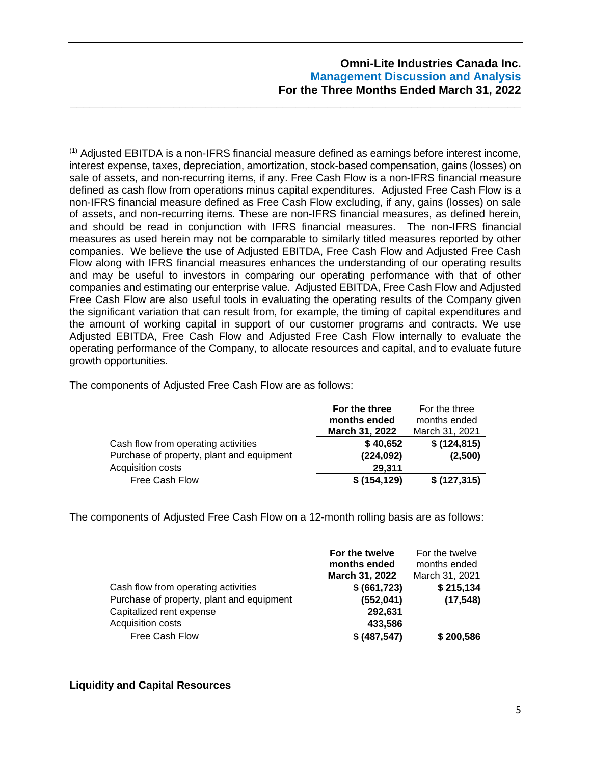$<sup>(1)</sup>$  Adjusted EBITDA is a non-IFRS financial measure defined as earnings before interest income,</sup> interest expense, taxes, depreciation, amortization, stock-based compensation, gains (losses) on sale of assets, and non-recurring items, if any. Free Cash Flow is a non-IFRS financial measure defined as cash flow from operations minus capital expenditures. Adjusted Free Cash Flow is a non-IFRS financial measure defined as Free Cash Flow excluding, if any, gains (losses) on sale of assets, and non-recurring items. These are non-IFRS financial measures, as defined herein, and should be read in conjunction with IFRS financial measures. The non-IFRS financial measures as used herein may not be comparable to similarly titled measures reported by other companies. We believe the use of Adjusted EBITDA, Free Cash Flow and Adjusted Free Cash Flow along with IFRS financial measures enhances the understanding of our operating results and may be useful to investors in comparing our operating performance with that of other companies and estimating our enterprise value. Adjusted EBITDA, Free Cash Flow and Adjusted Free Cash Flow are also useful tools in evaluating the operating results of the Company given the significant variation that can result from, for example, the timing of capital expenditures and the amount of working capital in support of our customer programs and contracts. We use Adjusted EBITDA, Free Cash Flow and Adjusted Free Cash Flow internally to evaluate the operating performance of the Company, to allocate resources and capital, and to evaluate future growth opportunities.

**\_\_\_\_\_\_\_\_\_\_\_\_\_\_\_\_\_\_\_\_\_\_\_\_\_\_\_\_\_\_\_\_\_\_\_\_\_\_\_\_\_\_\_\_\_\_\_\_\_\_\_\_\_\_\_\_\_\_\_\_\_\_\_\_\_\_\_\_\_\_**

The components of Adjusted Free Cash Flow are as follows:

|                                           | For the three  | For the three  |
|-------------------------------------------|----------------|----------------|
|                                           | months ended   | months ended   |
|                                           | March 31, 2022 | March 31, 2021 |
| Cash flow from operating activities       | \$40,652       | \$(124, 815)   |
| Purchase of property, plant and equipment | (224, 092)     | (2,500)        |
| Acquisition costs                         | 29,311         |                |
| Free Cash Flow                            | \$(154, 129)   | \$(127, 315)   |

The components of Adjusted Free Cash Flow on a 12-month rolling basis are as follows:

|                                           | For the twelve | For the twelve |
|-------------------------------------------|----------------|----------------|
|                                           | months ended   | months ended   |
|                                           | March 31, 2022 | March 31, 2021 |
| Cash flow from operating activities       | \$ (661, 723)  | \$215,134      |
| Purchase of property, plant and equipment | (552, 041)     | (17, 548)      |
| Capitalized rent expense                  | 292,631        |                |
| Acquisition costs                         | 433,586        |                |
| Free Cash Flow                            | \$ (487, 547)  | \$200,586      |

### **Liquidity and Capital Resources**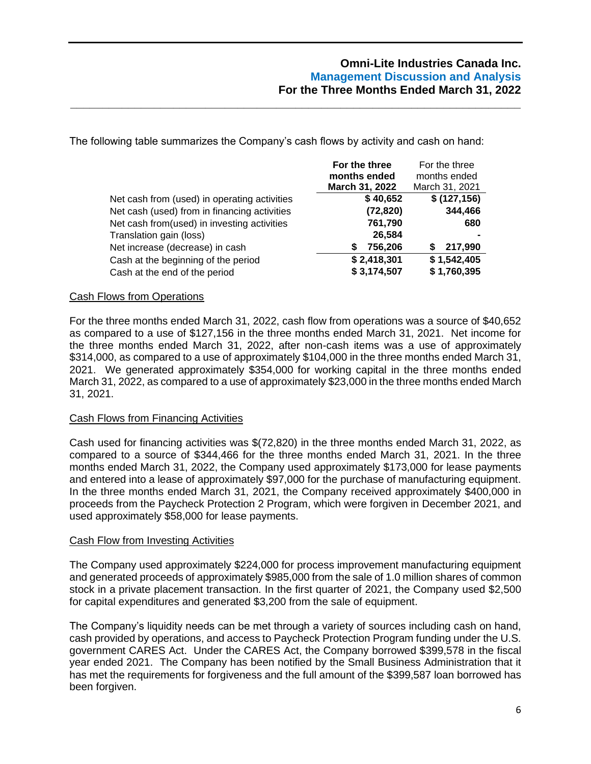The following table summarizes the Company's cash flows by activity and cash on hand:

**\_\_\_\_\_\_\_\_\_\_\_\_\_\_\_\_\_\_\_\_\_\_\_\_\_\_\_\_\_\_\_\_\_\_\_\_\_\_\_\_\_\_\_\_\_\_\_\_\_\_\_\_\_\_\_\_\_\_\_\_\_\_\_\_\_\_\_\_\_\_**

|                                              | For the three         | For the three  |
|----------------------------------------------|-----------------------|----------------|
|                                              | months ended          | months ended   |
|                                              | <b>March 31, 2022</b> | March 31, 2021 |
| Net cash from (used) in operating activities | \$40,652              | \$(127, 156)   |
| Net cash (used) from in financing activities | (72, 820)             | 344,466        |
| Net cash from(used) in investing activities  | 761,790               | 680            |
| Translation gain (loss)                      | 26,584                |                |
| Net increase (decrease) in cash              | 756,206<br>S          | 217,990<br>S.  |
| Cash at the beginning of the period          | \$2,418,301           | \$1,542,405    |
| Cash at the end of the period                | \$3,174,507           | \$1,760,395    |

### Cash Flows from Operations

For the three months ended March 31, 2022, cash flow from operations was a source of \$40,652 as compared to a use of \$127,156 in the three months ended March 31, 2021. Net income for the three months ended March 31, 2022, after non-cash items was a use of approximately \$314,000, as compared to a use of approximately \$104,000 in the three months ended March 31, 2021. We generated approximately \$354,000 for working capital in the three months ended March 31, 2022, as compared to a use of approximately \$23,000 in the three months ended March 31, 2021.

### Cash Flows from Financing Activities

Cash used for financing activities was \$(72,820) in the three months ended March 31, 2022, as compared to a source of \$344,466 for the three months ended March 31, 2021. In the three months ended March 31, 2022, the Company used approximately \$173,000 for lease payments and entered into a lease of approximately \$97,000 for the purchase of manufacturing equipment. In the three months ended March 31, 2021, the Company received approximately \$400,000 in proceeds from the Paycheck Protection 2 Program, which were forgiven in December 2021, and used approximately \$58,000 for lease payments.

### Cash Flow from Investing Activities

The Company used approximately \$224,000 for process improvement manufacturing equipment and generated proceeds of approximately \$985,000 from the sale of 1.0 million shares of common stock in a private placement transaction. In the first quarter of 2021, the Company used \$2,500 for capital expenditures and generated \$3,200 from the sale of equipment.

The Company's liquidity needs can be met through a variety of sources including cash on hand, cash provided by operations, and access to Paycheck Protection Program funding under the U.S. government CARES Act. Under the CARES Act, the Company borrowed \$399,578 in the fiscal year ended 2021. The Company has been notified by the Small Business Administration that it has met the requirements for forgiveness and the full amount of the \$399,587 loan borrowed has been forgiven.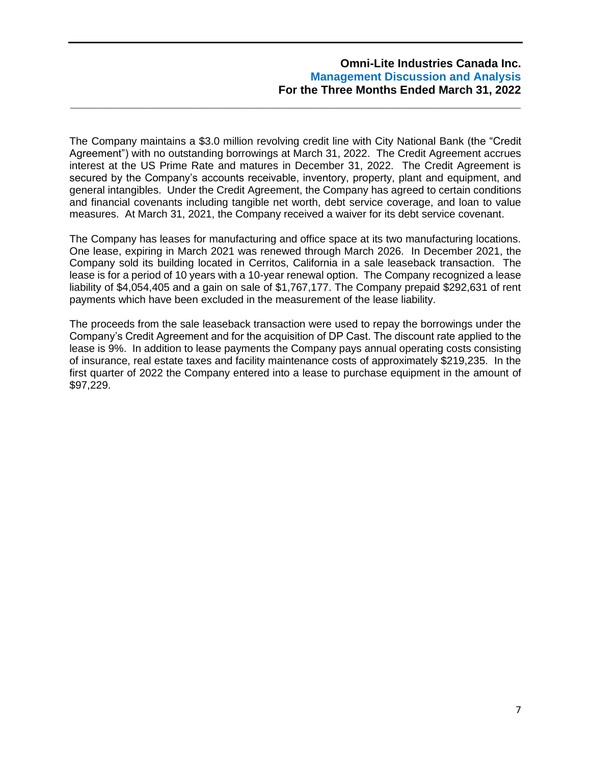The Company maintains a \$3.0 million revolving credit line with City National Bank (the "Credit Agreement") with no outstanding borrowings at March 31, 2022. The Credit Agreement accrues interest at the US Prime Rate and matures in December 31, 2022. The Credit Agreement is secured by the Company's accounts receivable, inventory, property, plant and equipment, and general intangibles. Under the Credit Agreement, the Company has agreed to certain conditions and financial covenants including tangible net worth, debt service coverage, and loan to value measures. At March 31, 2021, the Company received a waiver for its debt service covenant.

**\_\_\_\_\_\_\_\_\_\_\_\_\_\_\_\_\_\_\_\_\_\_\_\_\_\_\_\_\_\_\_\_\_\_\_\_\_\_\_\_\_\_\_\_\_\_\_\_\_\_\_\_\_\_\_\_\_\_\_\_\_\_\_\_\_\_\_\_\_\_**

The Company has leases for manufacturing and office space at its two manufacturing locations. One lease, expiring in March 2021 was renewed through March 2026. In December 2021, the Company sold its building located in Cerritos, California in a sale leaseback transaction. The lease is for a period of 10 years with a 10-year renewal option. The Company recognized a lease liability of \$4,054,405 and a gain on sale of \$1,767,177. The Company prepaid \$292,631 of rent payments which have been excluded in the measurement of the lease liability.

The proceeds from the sale leaseback transaction were used to repay the borrowings under the Company's Credit Agreement and for the acquisition of DP Cast. The discount rate applied to the lease is 9%. In addition to lease payments the Company pays annual operating costs consisting of insurance, real estate taxes and facility maintenance costs of approximately \$219,235. In the first quarter of 2022 the Company entered into a lease to purchase equipment in the amount of \$97,229.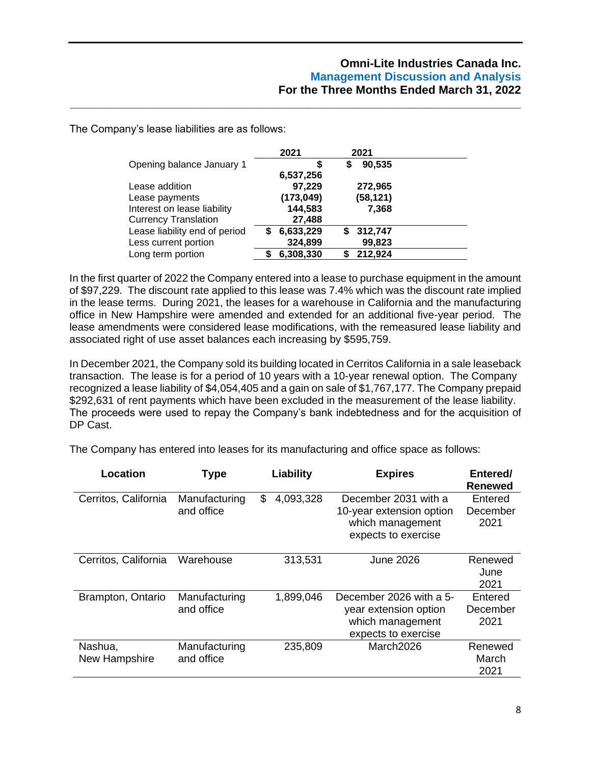The Company's lease liabilities are as follows:

|                               |   | 2021       | 2021         |  |
|-------------------------------|---|------------|--------------|--|
| Opening balance January 1     |   | S          | \$<br>90,535 |  |
|                               |   | 6,537,256  |              |  |
| Lease addition                |   | 97,229     | 272,965      |  |
| Lease payments                |   | (173, 049) | (58, 121)    |  |
| Interest on lease liability   |   | 144,583    | 7,368        |  |
| <b>Currency Translation</b>   |   | 27,488     |              |  |
| Lease liability end of period | S | 6,633,229  | \$312,747    |  |
| Less current portion          |   | 324,899    | 99,823       |  |
| Long term portion             |   | 6,308,330  | 212,924      |  |

**\_\_\_\_\_\_\_\_\_\_\_\_\_\_\_\_\_\_\_\_\_\_\_\_\_\_\_\_\_\_\_\_\_\_\_\_\_\_\_\_\_\_\_\_\_\_\_\_\_\_\_\_\_\_\_\_\_\_\_\_\_\_\_\_\_\_\_\_\_\_**

In the first quarter of 2022 the Company entered into a lease to purchase equipment in the amount of \$97,229. The discount rate applied to this lease was 7.4% which was the discount rate implied in the lease terms. During 2021, the leases for a warehouse in California and the manufacturing office in New Hampshire were amended and extended for an additional five-year period. The lease amendments were considered lease modifications, with the remeasured lease liability and associated right of use asset balances each increasing by \$595,759.

In December 2021, the Company sold its building located in Cerritos California in a sale leaseback transaction. The lease is for a period of 10 years with a 10-year renewal option. The Company recognized a lease liability of \$4,054,405 and a gain on sale of \$1,767,177. The Company prepaid \$292,631 of rent payments which have been excluded in the measurement of the lease liability. The proceeds were used to repay the Company's bank indebtedness and for the acquisition of DP Cast.

The Company has entered into leases for its manufacturing and office space as follows:

| Location                 | <b>Type</b>                 | Liability       | <b>Expires</b>                                                                              | Entered/<br><b>Renewed</b>  |
|--------------------------|-----------------------------|-----------------|---------------------------------------------------------------------------------------------|-----------------------------|
| Cerritos, California     | Manufacturing<br>and office | \$<br>4,093,328 | December 2031 with a<br>10-year extension option<br>which management<br>expects to exercise | Entered<br>December<br>2021 |
| Cerritos, California     | Warehouse                   | 313,531         | June 2026                                                                                   | Renewed<br>June<br>2021     |
| Brampton, Ontario        | Manufacturing<br>and office | 1,899,046       | December 2026 with a 5-<br>year extension option<br>which management<br>expects to exercise | Entered<br>December<br>2021 |
| Nashua,<br>New Hampshire | Manufacturing<br>and office | 235,809         | March2026                                                                                   | Renewed<br>March<br>2021    |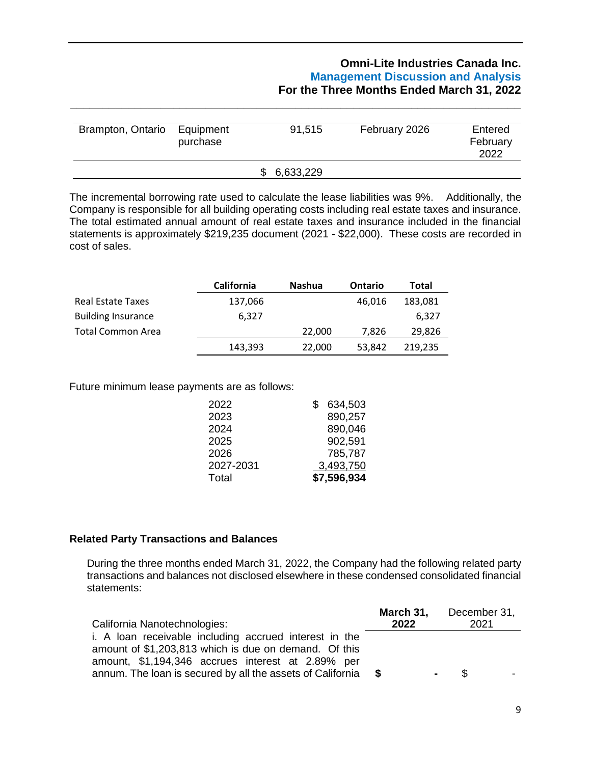| Brampton, Ontario | Equipment<br>purchase | 91,515      | February 2026 | Entered<br>February<br>2022 |
|-------------------|-----------------------|-------------|---------------|-----------------------------|
|                   |                       | \$6,633,229 |               |                             |

**\_\_\_\_\_\_\_\_\_\_\_\_\_\_\_\_\_\_\_\_\_\_\_\_\_\_\_\_\_\_\_\_\_\_\_\_\_\_\_\_\_\_\_\_\_\_\_\_\_\_\_\_\_\_\_\_\_\_\_\_\_\_\_\_\_\_\_\_\_\_**

The incremental borrowing rate used to calculate the lease liabilities was 9%. Additionally, the Company is responsible for all building operating costs including real estate taxes and insurance. The total estimated annual amount of real estate taxes and insurance included in the financial statements is approximately \$219,235 document (2021 - \$22,000). These costs are recorded in cost of sales.

|                           | <b>California</b> | <b>Nashua</b> | <b>Ontario</b> | Total   |
|---------------------------|-------------------|---------------|----------------|---------|
| <b>Real Estate Taxes</b>  | 137,066           |               | 46.016         | 183,081 |
| <b>Building Insurance</b> | 6.327             |               |                | 6.327   |
| Total Common Area         |                   | 22,000        | 7.826          | 29,826  |
|                           | 143,393           | 22,000        | 53,842         | 219,235 |

Future minimum lease payments are as follows:

| 2022      | 634,503<br>S. |
|-----------|---------------|
| 2023      | 890,257       |
| 2024      | 890,046       |
| 2025      | 902,591       |
| 2026      | 785,787       |
| 2027-2031 | 3,493,750     |
| Total     | \$7,596,934   |
|           |               |

# **Related Party Transactions and Balances**

During the three months ended March 31, 2022, the Company had the following related party transactions and balances not disclosed elsewhere in these condensed consolidated financial statements:

| California Nanotechnologies:                                                                                                                                         | 2022     | March 31, December 31,<br>2021   |
|----------------------------------------------------------------------------------------------------------------------------------------------------------------------|----------|----------------------------------|
| i. A loan receivable including accrued interest in the<br>amount of \$1,203,813 which is due on demand. Of this<br>amount, \$1,194,346 accrues interest at 2.89% per |          |                                  |
| annum. The loan is secured by all the assets of California                                                                                                           | <b>S</b> | - \$<br>$\overline{\phantom{a}}$ |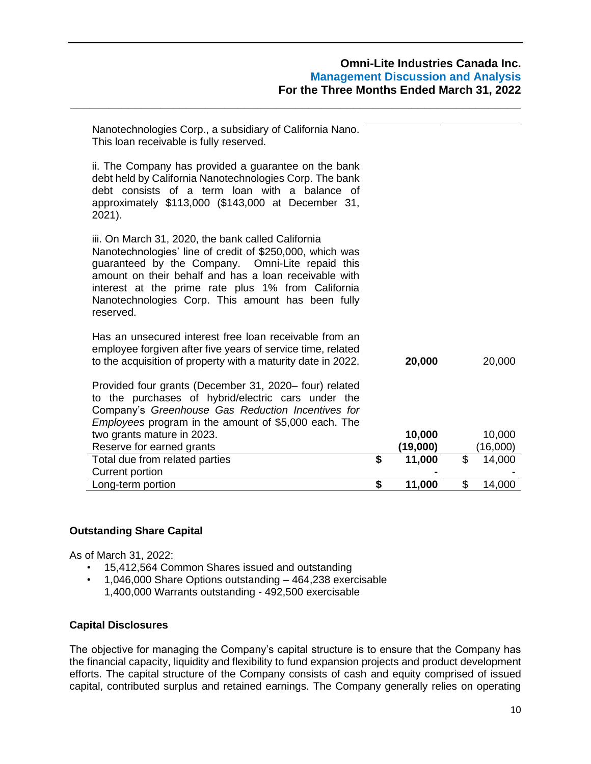| Nanotechnologies Corp., a subsidiary of California Nano.<br>This loan receivable is fully reserved.                                                                                                                                                                                                                                                 |              |              |
|-----------------------------------------------------------------------------------------------------------------------------------------------------------------------------------------------------------------------------------------------------------------------------------------------------------------------------------------------------|--------------|--------------|
| ii. The Company has provided a guarantee on the bank<br>debt held by California Nanotechnologies Corp. The bank<br>debt consists of a term loan with a balance of<br>approximately \$113,000 (\$143,000 at December 31,<br>2021).                                                                                                                   |              |              |
| iii. On March 31, 2020, the bank called California<br>Nanotechnologies' line of credit of \$250,000, which was<br>guaranteed by the Company. Omni-Lite repaid this<br>amount on their behalf and has a loan receivable with<br>interest at the prime rate plus 1% from California<br>Nanotechnologies Corp. This amount has been fully<br>reserved. |              |              |
| Has an unsecured interest free loan receivable from an<br>employee forgiven after five years of service time, related<br>to the acquisition of property with a maturity date in 2022.                                                                                                                                                               | 20,000       | 20,000       |
| Provided four grants (December 31, 2020– four) related<br>to the purchases of hybrid/electric cars under the<br>Company's Greenhouse Gas Reduction Incentives for<br><i>Employees</i> program in the amount of \$5,000 each. The                                                                                                                    |              |              |
| two grants mature in 2023.                                                                                                                                                                                                                                                                                                                          | 10,000       | 10,000       |
| Reserve for earned grants                                                                                                                                                                                                                                                                                                                           | (19,000)     | (16,000)     |
| Total due from related parties                                                                                                                                                                                                                                                                                                                      | \$<br>11,000 | \$<br>14,000 |
| Current portion                                                                                                                                                                                                                                                                                                                                     |              |              |
| Long-term portion                                                                                                                                                                                                                                                                                                                                   | \$<br>11,000 | \$<br>14,000 |

**\_\_\_\_\_\_\_\_\_\_\_\_\_\_\_\_\_\_\_\_\_\_\_\_\_\_\_\_\_\_\_\_\_\_\_\_\_\_\_\_\_\_\_\_\_\_\_\_\_\_\_\_\_\_\_\_\_\_\_\_\_\_\_\_\_\_\_\_\_\_**

# **Outstanding Share Capital**

As of March 31, 2022:

- 15,412,564 Common Shares issued and outstanding
- 1,046,000 Share Options outstanding 464,238 exercisable 1,400,000 Warrants outstanding - 492,500 exercisable

### **Capital Disclosures**

The objective for managing the Company's capital structure is to ensure that the Company has the financial capacity, liquidity and flexibility to fund expansion projects and product development efforts. The capital structure of the Company consists of cash and equity comprised of issued capital, contributed surplus and retained earnings. The Company generally relies on operating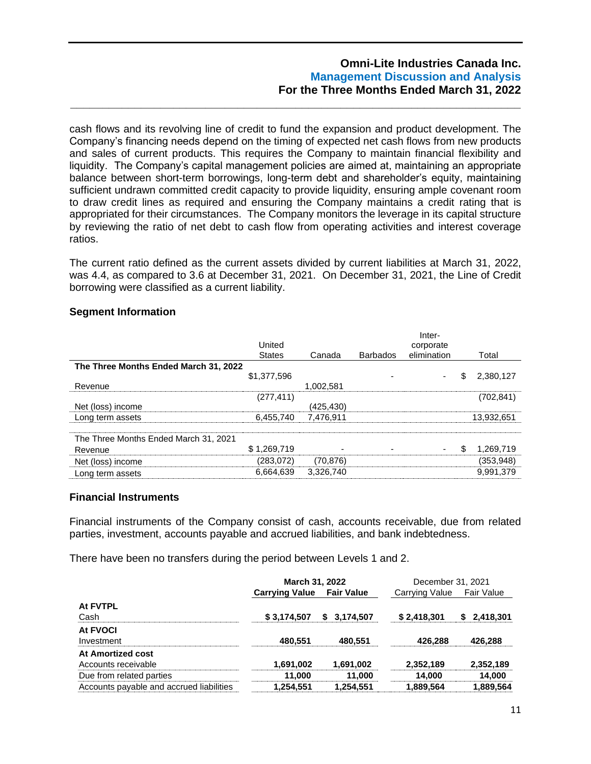cash flows and its revolving line of credit to fund the expansion and product development. The Company's financing needs depend on the timing of expected net cash flows from new products and sales of current products. This requires the Company to maintain financial flexibility and liquidity. The Company's capital management policies are aimed at, maintaining an appropriate balance between short-term borrowings, long-term debt and shareholder's equity, maintaining sufficient undrawn committed credit capacity to provide liquidity, ensuring ample covenant room to draw credit lines as required and ensuring the Company maintains a credit rating that is appropriated for their circumstances. The Company monitors the leverage in its capital structure by reviewing the ratio of net debt to cash flow from operating activities and interest coverage ratios.

**\_\_\_\_\_\_\_\_\_\_\_\_\_\_\_\_\_\_\_\_\_\_\_\_\_\_\_\_\_\_\_\_\_\_\_\_\_\_\_\_\_\_\_\_\_\_\_\_\_\_\_\_\_\_\_\_\_\_\_\_\_\_\_\_\_\_\_\_\_\_**

The current ratio defined as the current assets divided by current liabilities at March 31, 2022, was 4.4, as compared to 3.6 at December 31, 2021. On December 31, 2021, the Line of Credit borrowing were classified as a current liability.

### **Segment Information**

|                                       |           |                 | Inter-      |   |            |
|---------------------------------------|-----------|-----------------|-------------|---|------------|
| United                                |           |                 | corporate   |   |            |
| <b>States</b>                         | Canada    | <b>Barbados</b> | elimination |   | Total      |
| The Three Months Ended March 31, 2022 |           |                 |             |   |            |
| \$1,377,596                           |           |                 |             | S | 2,380,127  |
|                                       | 1.002.581 |                 |             |   |            |
| (277, 411)                            |           |                 |             |   | (702, 841) |
|                                       | (425.430) |                 |             |   |            |
| 6.455.740                             | 7.476.911 |                 |             |   | 13,932,651 |
|                                       |           |                 |             |   |            |
|                                       |           |                 |             |   |            |
| \$1.269.719                           |           |                 |             | S | 1,269,719  |
| (283,072)                             | (70, 876) |                 |             |   | (353, 948) |
| 6,664,639                             | 3,326,740 |                 |             |   | 9,991,379  |
|                                       |           |                 |             |   |            |

#### **Financial Instruments**

Financial instruments of the Company consist of cash, accounts receivable, due from related parties, investment, accounts payable and accrued liabilities, and bank indebtedness.

There have been no transfers during the period between Levels 1 and 2.

|                                          | March 31, 2022        |                   | December 31, 2021 |             |  |  |
|------------------------------------------|-----------------------|-------------------|-------------------|-------------|--|--|
|                                          | <b>Carrying Value</b> | <b>Fair Value</b> | Carrying Value    | Fair Value  |  |  |
| At FVTPL                                 |                       |                   |                   |             |  |  |
| Cash                                     | \$3,174,507           | 3,174,507<br>S.   | \$2,418,301       | \$2,418,301 |  |  |
| <b>At FVOCI</b>                          |                       |                   |                   |             |  |  |
| Investment                               | 480,551               | 480.551           | 426,288           | 426,288     |  |  |
| At Amortized cost                        |                       |                   |                   |             |  |  |
| Accounts receivable                      | 1,691,002             | 1,691,002         | 2,352,189         | 2,352,189   |  |  |
| Due from related parties                 | 11,000                | 11,000            | 14,000            | 14,000      |  |  |
| Accounts payable and accrued liabilities | 1,254,551             | 1,254,551         | 1,889,564         | 1,889,564   |  |  |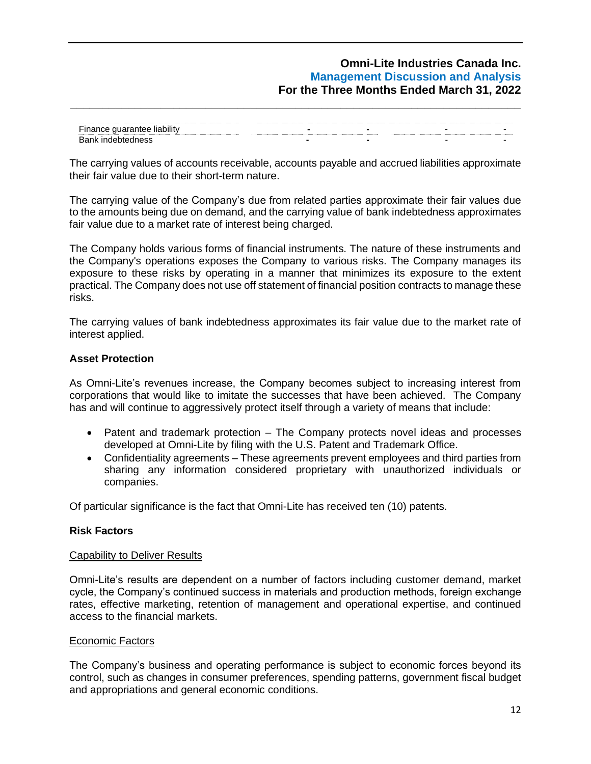| $- \cdot$<br><br>1.0.0111<br>$\overline{\phantom{0}}$<br> |  |
|-----------------------------------------------------------|--|
| Bank                                                      |  |

**\_\_\_\_\_\_\_\_\_\_\_\_\_\_\_\_\_\_\_\_\_\_\_\_\_\_\_\_\_\_\_\_\_\_\_\_\_\_\_\_\_\_\_\_\_\_\_\_\_\_\_\_\_\_\_\_\_\_\_\_\_\_\_\_\_\_\_\_\_\_**

The carrying values of accounts receivable, accounts payable and accrued liabilities approximate their fair value due to their short-term nature.

The carrying value of the Company's due from related parties approximate their fair values due to the amounts being due on demand, and the carrying value of bank indebtedness approximates fair value due to a market rate of interest being charged.

The Company holds various forms of financial instruments. The nature of these instruments and the Company's operations exposes the Company to various risks. The Company manages its exposure to these risks by operating in a manner that minimizes its exposure to the extent practical. The Company does not use off statement of financial position contracts to manage these risks.

The carrying values of bank indebtedness approximates its fair value due to the market rate of interest applied.

## **Asset Protection**

As Omni-Lite's revenues increase, the Company becomes subject to increasing interest from corporations that would like to imitate the successes that have been achieved. The Company has and will continue to aggressively protect itself through a variety of means that include:

- Patent and trademark protection The Company protects novel ideas and processes developed at Omni-Lite by filing with the U.S. Patent and Trademark Office.
- Confidentiality agreements These agreements prevent employees and third parties from sharing any information considered proprietary with unauthorized individuals or companies.

Of particular significance is the fact that Omni-Lite has received ten (10) patents.

### **Risk Factors**

### Capability to Deliver Results

Omni-Lite's results are dependent on a number of factors including customer demand, market cycle, the Company's continued success in materials and production methods, foreign exchange rates, effective marketing, retention of management and operational expertise, and continued access to the financial markets.

### Economic Factors

The Company's business and operating performance is subject to economic forces beyond its control, such as changes in consumer preferences, spending patterns, government fiscal budget and appropriations and general economic conditions.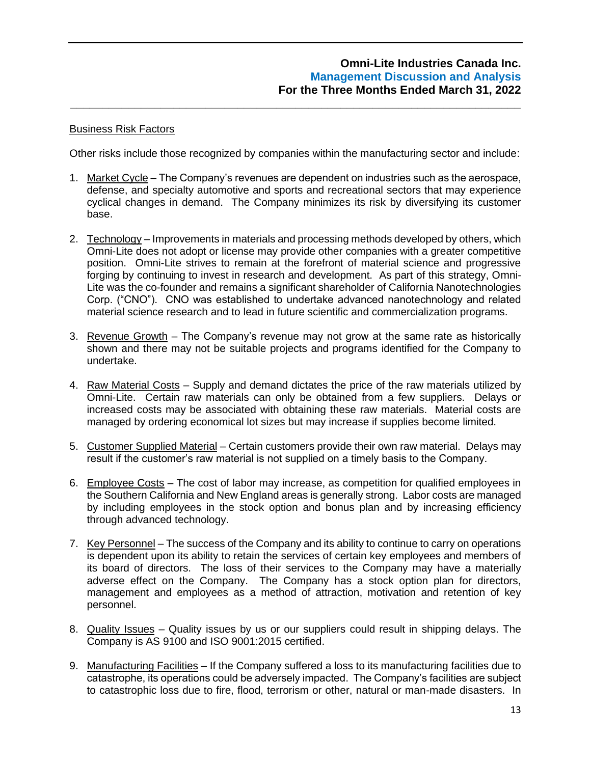### Business Risk Factors

Other risks include those recognized by companies within the manufacturing sector and include:

**\_\_\_\_\_\_\_\_\_\_\_\_\_\_\_\_\_\_\_\_\_\_\_\_\_\_\_\_\_\_\_\_\_\_\_\_\_\_\_\_\_\_\_\_\_\_\_\_\_\_\_\_\_\_\_\_\_\_\_\_\_\_\_\_\_\_\_\_\_\_**

- 1. Market Cycle The Company's revenues are dependent on industries such as the aerospace, defense, and specialty automotive and sports and recreational sectors that may experience cyclical changes in demand. The Company minimizes its risk by diversifying its customer base.
- 2. Technology Improvements in materials and processing methods developed by others, which Omni-Lite does not adopt or license may provide other companies with a greater competitive position. Omni-Lite strives to remain at the forefront of material science and progressive forging by continuing to invest in research and development. As part of this strategy, Omni-Lite was the co-founder and remains a significant shareholder of California Nanotechnologies Corp. ("CNO"). CNO was established to undertake advanced nanotechnology and related material science research and to lead in future scientific and commercialization programs.
- 3. Revenue Growth The Company's revenue may not grow at the same rate as historically shown and there may not be suitable projects and programs identified for the Company to undertake.
- 4. Raw Material Costs Supply and demand dictates the price of the raw materials utilized by Omni-Lite. Certain raw materials can only be obtained from a few suppliers. Delays or increased costs may be associated with obtaining these raw materials. Material costs are managed by ordering economical lot sizes but may increase if supplies become limited.
- 5. Customer Supplied Material Certain customers provide their own raw material. Delays may result if the customer's raw material is not supplied on a timely basis to the Company.
- 6. Employee Costs The cost of labor may increase, as competition for qualified employees in the Southern California and New England areas is generally strong. Labor costs are managed by including employees in the stock option and bonus plan and by increasing efficiency through advanced technology.
- 7. Key Personnel The success of the Company and its ability to continue to carry on operations is dependent upon its ability to retain the services of certain key employees and members of its board of directors. The loss of their services to the Company may have a materially adverse effect on the Company. The Company has a stock option plan for directors, management and employees as a method of attraction, motivation and retention of key personnel.
- 8. Quality Issues Quality issues by us or our suppliers could result in shipping delays. The Company is AS 9100 and ISO 9001:2015 certified.
- 9. Manufacturing Facilities If the Company suffered a loss to its manufacturing facilities due to catastrophe, its operations could be adversely impacted. The Company's facilities are subject to catastrophic loss due to fire, flood, terrorism or other, natural or man-made disasters. In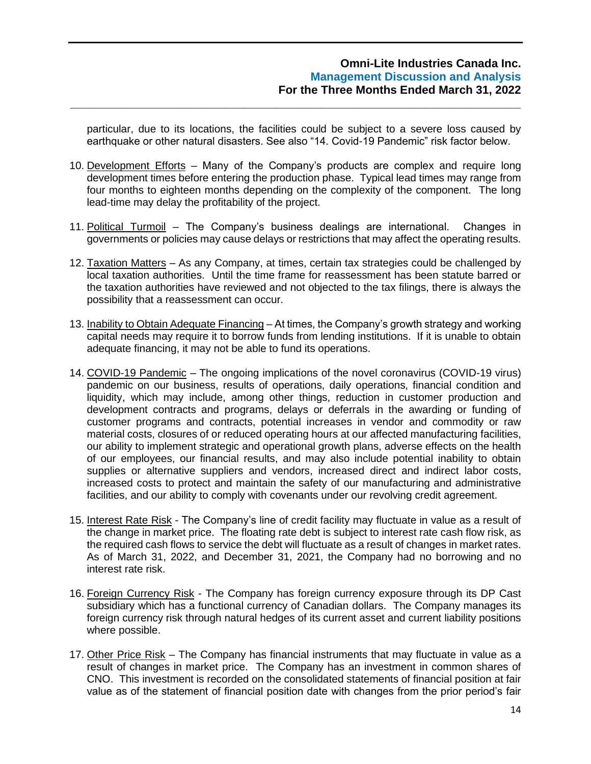particular, due to its locations, the facilities could be subject to a severe loss caused by earthquake or other natural disasters. See also "14. Covid-19 Pandemic" risk factor below.

**\_\_\_\_\_\_\_\_\_\_\_\_\_\_\_\_\_\_\_\_\_\_\_\_\_\_\_\_\_\_\_\_\_\_\_\_\_\_\_\_\_\_\_\_\_\_\_\_\_\_\_\_\_\_\_\_\_\_\_\_\_\_\_\_\_\_\_\_\_\_**

- 10. Development Efforts Many of the Company's products are complex and require long development times before entering the production phase. Typical lead times may range from four months to eighteen months depending on the complexity of the component. The long lead-time may delay the profitability of the project.
- 11. Political Turmoil The Company's business dealings are international. Changes in governments or policies may cause delays or restrictions that may affect the operating results.
- 12. Taxation Matters As any Company, at times, certain tax strategies could be challenged by local taxation authorities. Until the time frame for reassessment has been statute barred or the taxation authorities have reviewed and not objected to the tax filings, there is always the possibility that a reassessment can occur.
- 13. Inability to Obtain Adequate Financing At times, the Company's growth strategy and working capital needs may require it to borrow funds from lending institutions. If it is unable to obtain adequate financing, it may not be able to fund its operations.
- 14. COVID-19 Pandemic The ongoing implications of the novel coronavirus (COVID-19 virus) pandemic on our business, results of operations, daily operations, financial condition and liquidity, which may include, among other things, reduction in customer production and development contracts and programs, delays or deferrals in the awarding or funding of customer programs and contracts, potential increases in vendor and commodity or raw material costs, closures of or reduced operating hours at our affected manufacturing facilities, our ability to implement strategic and operational growth plans, adverse effects on the health of our employees, our financial results, and may also include potential inability to obtain supplies or alternative suppliers and vendors, increased direct and indirect labor costs, increased costs to protect and maintain the safety of our manufacturing and administrative facilities, and our ability to comply with covenants under our revolving credit agreement.
- 15. Interest Rate Risk The Company's line of credit facility may fluctuate in value as a result of the change in market price. The floating rate debt is subject to interest rate cash flow risk, as the required cash flows to service the debt will fluctuate as a result of changes in market rates. As of March 31, 2022, and December 31, 2021, the Company had no borrowing and no interest rate risk.
- 16. Foreign Currency Risk The Company has foreign currency exposure through its DP Cast subsidiary which has a functional currency of Canadian dollars. The Company manages its foreign currency risk through natural hedges of its current asset and current liability positions where possible.
- 17. Other Price Risk The Company has financial instruments that may fluctuate in value as a result of changes in market price. The Company has an investment in common shares of CNO. This investment is recorded on the consolidated statements of financial position at fair value as of the statement of financial position date with changes from the prior period's fair